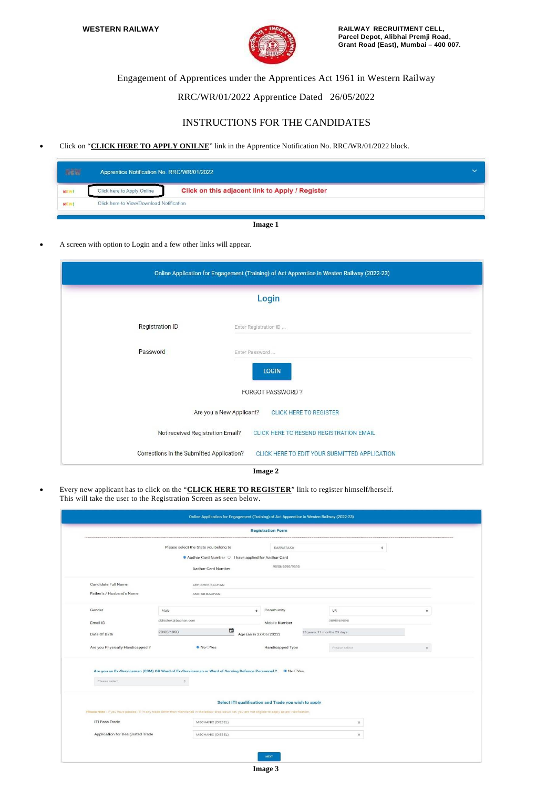

Engagement of Apprentices under the Apprentices Act 1961 in Western Railway

## RRC/WR/01/2022 Apprentice Dated 26/05/2022

## INSTRUCTIONS FOR THE CANDIDATES

Click on "**CLICK HERE TO APPLY ONILNE**" link in the Apprentice Notification No. RRC/WR/01/2022 block.

|            | Apprentice Notification No. RRC/WR/01/2022 |                                                 |  |
|------------|--------------------------------------------|-------------------------------------------------|--|
| <b>NEW</b> | Click here to Apply Online                 | Click on this adjacent link to Apply / Register |  |
| NEW        | Click here to View/Download Notification   |                                                 |  |
|            |                                            | $-$<br>$\sim$                                   |  |

**Image 1**

A screen with option to Login and a few other links will appear.

| Online Application for Engagement (Training) of Act Apprentice in Westen Railway (2022-23) |                                                           |  |  |  |  |
|--------------------------------------------------------------------------------------------|-----------------------------------------------------------|--|--|--|--|
|                                                                                            | Login                                                     |  |  |  |  |
| <b>Registration ID</b>                                                                     | Enter Registration ID                                     |  |  |  |  |
| Password                                                                                   | Enter Password                                            |  |  |  |  |
|                                                                                            | <b>LOGIN</b>                                              |  |  |  |  |
|                                                                                            | <b>FORGOT PASSWORD?</b>                                   |  |  |  |  |
|                                                                                            | Are you a New Applicant?<br><b>CLICK HERE TO REGISTER</b> |  |  |  |  |
| Not received Registration Email?                                                           | CLICK HERE TO RESEND REGISTRATION EMAIL                   |  |  |  |  |
| Corrections in the Submitted Application?                                                  | CLICK HERE TO EDIT YOUR SUBMITTED APPLICATION<br>$ -$     |  |  |  |  |

**Image 2**

 Every new applicant has to click on the "**CLICK HERE TO REGISTER**" link to register himself/herself. This will take the user to the Registration Screen as seen below.

| <b>Registration Form</b>         |                                                                                                                                                        |                                                              |                             |                    |  |  |  |
|----------------------------------|--------------------------------------------------------------------------------------------------------------------------------------------------------|--------------------------------------------------------------|-----------------------------|--------------------|--|--|--|
|                                  | Please select the State you belong to                                                                                                                  | KARNATAKA                                                    | $\bullet$                   |                    |  |  |  |
|                                  |                                                                                                                                                        | Aadhar Card Number $\bigcirc$ I have applied for Aadhar Card |                             |                    |  |  |  |
|                                  | Aadhar Card Number                                                                                                                                     | 9898/9898/9898                                               |                             |                    |  |  |  |
| Candidate Full Name              | ABHISHEK BACHAN                                                                                                                                        |                                                              |                             |                    |  |  |  |
| Father's / Husband's Name        | AMITAB BACHAN                                                                                                                                          |                                                              |                             |                    |  |  |  |
| Gender                           | Male.                                                                                                                                                  | Community<br>$\ddot{\phantom{a}}$                            | UR.                         | $\hat{\mathbf{v}}$ |  |  |  |
| Email ID                         | abhishek@bachan.com                                                                                                                                    | Mobile Number                                                | 9898989898                  |                    |  |  |  |
| Date Of Birth                    | 29/06/1998                                                                                                                                             | ▣<br>Age (as in 27/06/2022)                                  | 23 years, 11 months 29 days |                    |  |  |  |
| Are you Physically Handicapped?  | <sup>●</sup> No ○Yes                                                                                                                                   | Handicapped Type                                             | Please select               | $\circ$            |  |  |  |
|                                  | Are you an Ex-Serviceman (ESM) OR Ward of Ex-Serviceman or Ward of Serving Defence Personnel ? • No OYes                                               |                                                              |                             |                    |  |  |  |
| Please select                    | $\Phi$ :                                                                                                                                               |                                                              |                             |                    |  |  |  |
|                                  |                                                                                                                                                        | Select ITI qualification and Trade you wish to apply         |                             |                    |  |  |  |
|                                  | Please Note : if you have passed ITI in any trade other than mentioned in the below drop down list, you are not eligible to apply as per Notification. |                                                              |                             |                    |  |  |  |
| ITI Pass Trade                   | MECHANIC (DIESEL)                                                                                                                                      |                                                              | ۰                           |                    |  |  |  |
| Application for Designated Trade | MECHANIC (DIESEL)                                                                                                                                      |                                                              | ٠                           |                    |  |  |  |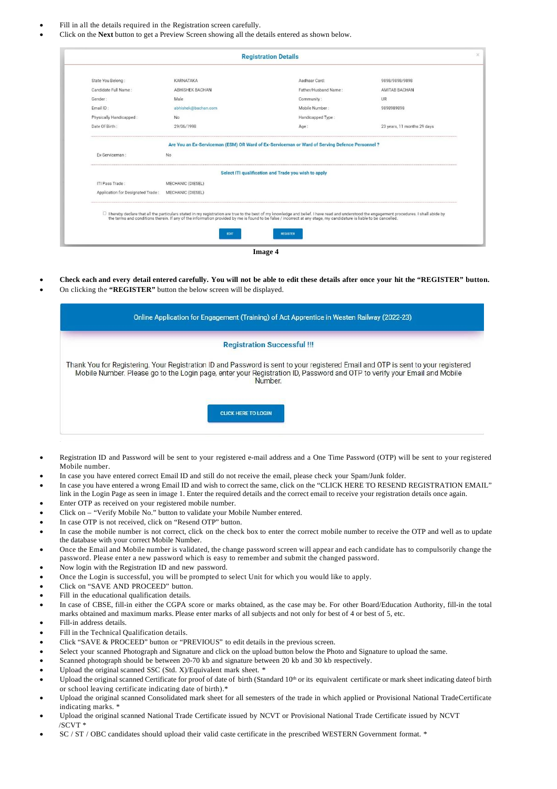- Fill in all the details required in the Registration screen carefully.
- Click on the **Next** button to get a Preview Screen showing all the details entered as shown below.

| State You Belong:       | KARNATAKA              | Aadhaar Card:                                                                                 | 9898/9898/9898              |
|-------------------------|------------------------|-----------------------------------------------------------------------------------------------|-----------------------------|
| Candidate Full Name:    | <b>ABHISHEK BACHAN</b> | Father/Husband Name:                                                                          | AMITAB BACHAN               |
| Gender:                 | Male                   | Community:                                                                                    | UR                          |
| Email ID:               | abhishek@bachan.com    | Mobile Number:                                                                                | 9898989898                  |
| Physically Handicapped: | No                     | Handicapped Type:                                                                             |                             |
| Date Of Birth:          | 29/06/1998             | Age:                                                                                          | 23 years, 11 months 29 days |
| Ex-Serviceman:          | No                     | Are You an Ex-Serviceman (ESM) OR Ward of Ex-Serviceman or Ward of Serving Defence Personnel? |                             |
| ITI Pass Trade:         | MECHANIC (DIESEL)      | Select ITI qualification and Trade you wish to apply                                          |                             |
|                         |                        |                                                                                               |                             |

- Check each and every detail entered carefully. You will not be able to edit these details after once your hit the "REGISTER" button.
- On clicking the **"REGISTER"** button the below screen will be displayed.

| Online Application for Engagement (Training) of Act Apprentice in Westen Railway (2022-23)                                                                                                                                                                              |  |  |  |  |
|-------------------------------------------------------------------------------------------------------------------------------------------------------------------------------------------------------------------------------------------------------------------------|--|--|--|--|
| <b>Registration Successful !!!</b>                                                                                                                                                                                                                                      |  |  |  |  |
| Thank You for Registering. Your Registration ID and Password is sent to your registered Email and OTP is sent to your registered<br>Mobile Number. Please go to the Login page, enter your Registration ID, Password and OTP to verify your Email and Mobile<br>Number. |  |  |  |  |
| <b>CLICK HERE TO LOGIN</b>                                                                                                                                                                                                                                              |  |  |  |  |

- Registration ID and Password will be sent to your registered e-mail address and a One Time Password (OTP) will be sent to your registered Mobile number.
- In case you have entered correct Email ID and still do not receive the email, please check your Spam/Junk folder.
- In case you have entered a wrong Email ID and wish to correct the same, click on the "CLICK HERE TO RESEND REGISTRATION EMAIL" link in the Login Page as seen in image 1. Enter the required details and the correct email to receive your registration details once again.
- Enter OTP as received on your registered mobile number.
- Click on "Verify Mobile No." button to validate your Mobile Number entered.
- In case OTP is not received, click on "Resend OTP" button.
- In case the mobile number is not correct, click on the check box to enter the correct mobile number to receive the OTP and well as to update the database with your correct Mobile Number.
- Once the Email and Mobile number is validated, the change password screen will appear and each candidate has to compulsorily change the password. Please enter a new password which is easy to remember and submit the changed password.
- Now login with the Registration ID and new password.
- Once the Login is successful, you will be prompted to select Unit for which you would like to apply.
- Click on "SAVE AND PROCEED" button.
- Fill in the educational qualification details.
- In case of CBSE, fill-in either the CGPA score or marks obtained, as the case may be. For other Board/Education Authority, fill-in the total marks obtained and maximum marks. Please enter marks of all subjects and not only for best of 4 or best of 5, etc.
- Fill-in address details.
- Fill in the Technical Qualification details.
- Click "SAVE & PROCEED" button or "PREVIOUS" to edit details in the previous screen.
- Select your scanned Photograph and Signature and click on the upload button below the Photo and Signature to upload the same.
- Scanned photograph should be between 20-70 kb and signature between 20 kb and 30 kb respectively.
- Upload the original scanned SSC (Std. X)/Equivalent mark sheet. \*
- Upload the original scanned Certificate for proof of date of birth (Standard 10<sup>th</sup> or its equivalent certificate or mark sheet indicating dateof birth or school leaving certificate indicating date of birth).\*
- Upload the original scanned Consolidated mark sheet for all semesters of the trade in which applied or Provisional National TradeCertificate indicating marks. \*
- Upload the original scanned National Trade Certificate issued by NCVT or Provisional National Trade Certificate issued by NCVT /SCVT \*
- SC / ST / OBC candidates should upload their valid caste certificate in the prescribed WESTERN Government format. \*